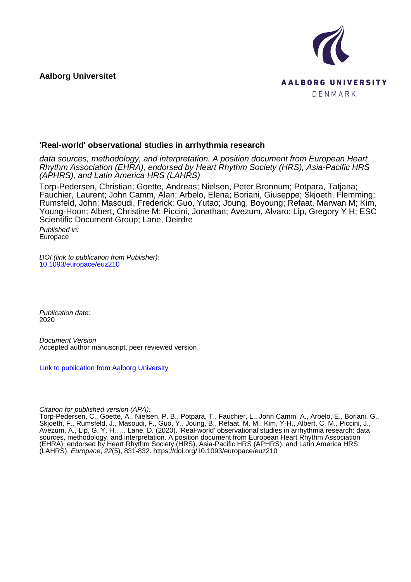**Aalborg Universitet**



#### **'Real-world' observational studies in arrhythmia research**

data sources, methodology, and interpretation. A position document from European Heart Rhythm Association (EHRA), endorsed by Heart Rhythm Society (HRS), Asia-Pacific HRS (APHRS), and Latin America HRS (LAHRS)

Torp-Pedersen, Christian; Goette, Andreas; Nielsen, Peter Bronnum; Potpara, Tatjana; Fauchier, Laurent; John Camm, Alan; Arbelo, Elena; Boriani, Giuseppe; Skjoeth, Flemming; Rumsfeld, John; Masoudi, Frederick; Guo, Yutao; Joung, Boyoung; Refaat, Marwan M; Kim, Young-Hoon; Albert, Christine M; Piccini, Jonathan; Avezum, Alvaro; Lip, Gregory Y H; ESC Scientific Document Group; Lane, Deirdre

Published in: Europace

DOI (link to publication from Publisher): [10.1093/europace/euz210](https://doi.org/10.1093/europace/euz210)

Publication date: 2020

Document Version Accepted author manuscript, peer reviewed version

[Link to publication from Aalborg University](https://vbn.aau.dk/en/publications/0a3e527c-2455-4dd2-b906-57dbb02def24)

Citation for published version (APA):

Torp-Pedersen, C., Goette, A., Nielsen, P. B., Potpara, T., Fauchier, L., John Camm, A., Arbelo, E., Boriani, G., Skjoeth, F., Rumsfeld, J., Masoudi, F., Guo, Y., Joung, B., Refaat, M. M., Kim, Y-H., Albert, C. M., Piccini, J., Avezum, A., Lip, G. Y. H., ... Lane, D. (2020). 'Real-world' observational studies in arrhythmia research: data sources, methodology, and interpretation. A position document from European Heart Rhythm Association (EHRA), endorsed by Heart Rhythm Society (HRS), Asia-Pacific HRS (APHRS), and Latin America HRS (LAHRS). Europace, 22(5), 831-832.<https://doi.org/10.1093/europace/euz210>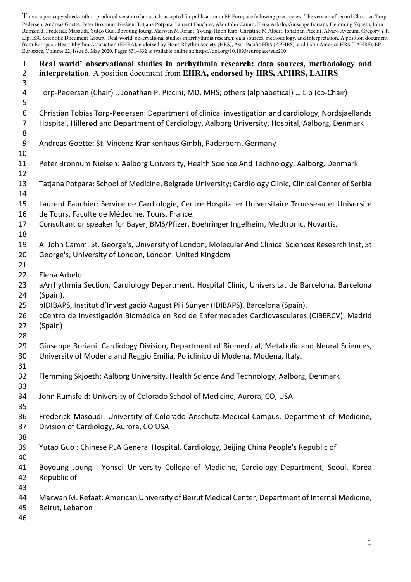This is a pre-copyedited, author-produced version of an article accepted for publication in EP Europace following peer review. The version of record Christian Torp-Pedersen, Andreas Goette, Peter Bronnum Nielsen, Tatjana Potpara, Laurent Fauchier, Alan John Camm, Elena Arbelo, Giuseppe Boriani, Flemming Skjoeth, John Rumsfeld, Frederick Masoudi, Yutao Guo, Boyoung Joung, Marwan M Refaat, Young-Hoon Kim, Christine M Albert, Jonathan Piccini, Alvaro Avezum, Gregory Y H Lip, ESC Scientific Document Group, 'Real-world' observational studies in arrhythmia research: data sources, methodology, and interpretation. A position document from European Heart Rhythm Association (EHRA), endorsed by Heart Rhythm Society (HRS), Asia-Pacific HRS (APHRS), and Latin America HRS (LAHRS), EP Europace, Volume 22, Issue 5, May 2020, Pages 831–832 is available online at: https://doi.org/10.1093/europace/euz210

| $\mathbf{1}$<br>$\overline{2}$<br>3 | Real world' observational studies in arrhythmia research: data sources, methodology and<br>interpretation. A position document from EHRA, endorsed by HRS, APHRS, LAHRS                                                                        |
|-------------------------------------|------------------------------------------------------------------------------------------------------------------------------------------------------------------------------------------------------------------------------------------------|
| 4<br>5                              | Torp-Pedersen (Chair)  Jonathan P. Piccini, MD, MHS; others (alphabetical)  Lip (co-Chair)                                                                                                                                                     |
| 6<br>7<br>8                         | Christian Tobias Torp-Pedersen: Department of clinical investigation and cardiology, Nordsjaellands<br>Hospital, Hillerød and Department of Cardiology, Aalborg University, Hospital, Aalborg, Denmark                                         |
| 9<br>10                             | Andreas Goette: St. Vincenz-Krankenhaus Gmbh, Paderborn, Germany                                                                                                                                                                               |
| 11<br>12                            | Peter Bronnum Nielsen: Aalborg University, Health Science And Technology, Aalborg, Denmark                                                                                                                                                     |
| 13<br>14                            | Tatjana Potpara: School of Medicine, Belgrade University; Cardiology Clinic, Clinical Center of Serbia                                                                                                                                         |
| 15<br>16<br>17                      | Laurent Fauchier: Service de Cardiologie, Centre Hospitalier Universitaire Trousseau et Université<br>de Tours, Faculté de Médecine. Tours, France.<br>Consultant or speaker for Bayer, BMS/Pfizer, Boehringer Ingelheim, Medtronic, Novartis. |
| 18<br>19<br>20                      | A. John Camm: St. George's, University of London, Molecular And Clinical Sciences Research Inst, St<br>George's, University of London, London, United Kingdom                                                                                  |
| 21<br>22<br>23<br>24                | Elena Arbelo:<br>aArrhythmia Section, Cardiology Department, Hospital Clínic, Universitat de Barcelona. Barcelona<br>(Spain).                                                                                                                  |
| 25<br>26<br>27<br>28                | bIDIBAPS, Institut d'Investigació August Pi i Sunyer (IDIBAPS). Barcelona (Spain).<br>cCentro de Investigación Biomédica en Red de Enfermedades Cardiovasculares (CIBERCV), Madrid<br>(Spain)                                                  |
| 29<br>30<br>31                      | Giuseppe Boriani: Cardiology Division, Department of Biomedical, Metabolic and Neural Sciences,<br>University of Modena and Reggio Emilia, Policlinico di Modena, Modena, Italy.                                                               |
| 32<br>33                            | Flemming Skjoeth: Aalborg University, Health Science And Technology, Aalborg, Denmark                                                                                                                                                          |
| 34<br>35                            | John Rumsfeld: University of Colorado School of Medicine, Aurora, CO, USA                                                                                                                                                                      |
| 36<br>37<br>38                      | Frederick Masoudi: University of Colorado Anschutz Medical Campus, Department of Medicine,<br>Division of Cardiology, Aurora, CO USA                                                                                                           |
| 39<br>40                            | Yutao Guo: Chinese PLA General Hospital, Cardiology, Beijing China People's Republic of                                                                                                                                                        |
| 41<br>42<br>43                      | Boyoung Joung : Yonsei University College of Medicine, Cardiology Department, Seoul, Korea<br>Republic of                                                                                                                                      |
| 44<br>45<br>46                      | Marwan M. Refaat: American University of Beirut Medical Center, Department of Internal Medicine,<br>Beirut, Lebanon                                                                                                                            |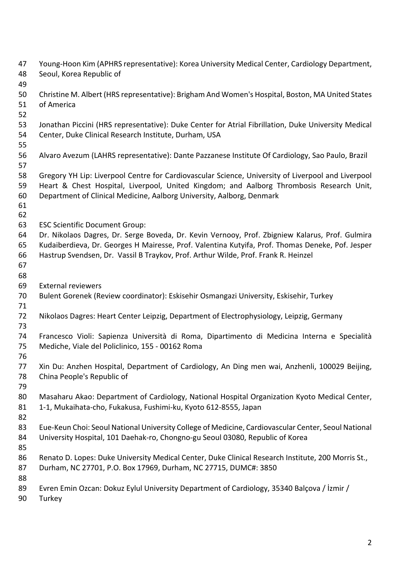Young-Hoon Kim (APHRS representative): Korea University Medical Center, Cardiology Department, Seoul, Korea Republic of Christine M. Albert (HRS representative): Brigham And Women's Hospital, Boston, MA United States of America Jonathan Piccini (HRS representative): Duke Center for Atrial Fibrillation, Duke University Medical Center, Duke Clinical Research Institute, Durham, USA Alvaro Avezum (LAHRS representative): Dante Pazzanese Institute Of Cardiology, Sao Paulo, Brazil Gregory YH Lip: Liverpool Centre for Cardiovascular Science, University of Liverpool and Liverpool Heart & Chest Hospital, Liverpool, United Kingdom; and Aalborg Thrombosis Research Unit, Department of Clinical Medicine, Aalborg University, Aalborg, Denmark ESC Scientific Document Group: Dr. Nikolaos Dagres, Dr. Serge Boveda, Dr. Kevin Vernooy, Prof. Zbigniew Kalarus, Prof. Gulmira Kudaiberdieva, Dr. Georges H Mairesse, Prof. Valentina Kutyifa, Prof. Thomas Deneke, Pof. Jesper Hastrup Svendsen, Dr. Vassil B Traykov, Prof. Arthur Wilde, Prof. Frank R. Heinzel External reviewers Bulent Gorenek (Review coordinator): Eskisehir Osmangazi University, Eskisehir, Turkey Nikolaos Dagres: Heart Center Leipzig, Department of Electrophysiology, Leipzig, Germany Francesco Violi: Sapienza Università di Roma, Dipartimento di Medicina Interna e Specialità Mediche, Viale del Policlinico, 155 - 00162 Roma Xin Du: Anzhen Hospital, Department of Cardiology, An Ding men wai, Anzhenli, 100029 Beijing, China People's Republic of Masaharu Akao: Department of Cardiology, National Hospital Organization Kyoto Medical Center, 1-1, Mukaihata-cho, Fukakusa, Fushimi-ku, Kyoto 612-8555, Japan Eue-Keun Choi: Seoul National University College of Medicine, Cardiovascular Center, Seoul National University Hospital, 101 Daehak-ro, Chongno-gu Seoul 03080, Republic of Korea Renato D. Lopes: Duke University Medical Center, Duke Clinical Research Institute, 200 Morris St., Durham, NC 27701, P.O. Box 17969, Durham, NC 27715, DUMC#: 3850 Evren Emin Ozcan: Dokuz Eylul University Department of Cardiology, 35340 Balçova / İzmir / Turkey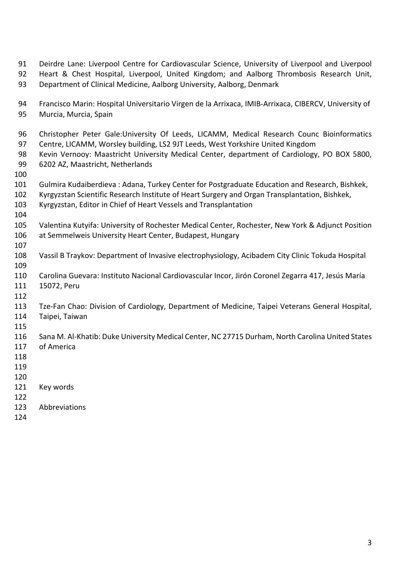- Deirdre Lane: Liverpool Centre for Cardiovascular Science, University of Liverpool and Liverpool Heart & Chest Hospital, Liverpool, United Kingdom; and Aalborg Thrombosis Research Unit, Department of Clinical Medicine, Aalborg University, Aalborg, Denmark
- Francisco Marin: Hospital Universitario Virgen de la Arrixaca, IMIB-Arrixaca, CIBERCV, University of Murcia, Murcia, Spain
- Christopher Peter Gale:University Of Leeds, LICAMM, Medical Research Counc Bioinformatics Centre, LICAMM, Worsley building, LS2 9JT Leeds, West Yorkshire United Kingdom
- Kevin Vernooy: Maastricht University Medical Center, department of Cardiology, PO BOX 5800, 6202 AZ, Maastricht, Netherlands
- 
- Gulmira Kudaiberdieva : Adana, Turkey Center for Postgraduate Education and Research, Bishkek,
- Kyrgyzstan Scientific Research Institute of Heart Surgery and Organ Transplantation, Bishkek,
- Kyrgyzstan, Editor in Chief of Heart Vessels and Transplantation
- 
- Valentina Kutyifa: University of Rochester Medical Center, Rochester, New York & Adjunct Position at Semmelweis University Heart Center, Budapest, Hungary
- Vassil B Traykov: Department of Invasive electrophysiology, Acibadem City Clinic Tokuda Hospital
- Carolina Guevara: Instituto Nacional Cardiovascular Incor, Jirón Coronel Zegarra 417, Jesús María 15072, Peru
- 

- Tze-Fan Chao: Division of Cardiology, Department of Medicine, Taipei Veterans General Hospital, Taipei, Taiwan
- 
- Sana M. Al-Khatib: Duke University Medical Center, NC 27715 Durham, North Carolina United States of America
- 
- 
- 
- Key words
- 
- Abbreviations
-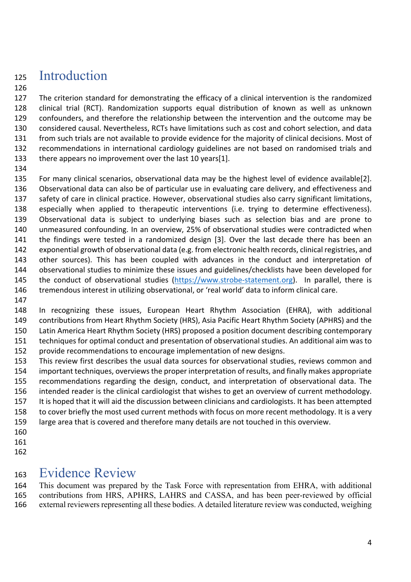## Introduction

 The criterion standard for demonstrating the efficacy of a clinical intervention is the randomized clinical trial (RCT). Randomization supports equal distribution of known as well as unknown confounders, and therefore the relationship between the intervention and the outcome may be considered causal. Nevertheless, RCTs have limitations such as cost and cohort selection, and data from such trials are not available to provide evidence for the majority of clinical decisions. Most of recommendations in international cardiology guidelines are not based on randomised trials and there appears no improvement over the last 10 years[1].

 For many clinical scenarios, observational data may be the highest level of evidence available[2]. Observational data can also be of particular use in evaluating care delivery, and effectiveness and safety of care in clinical practice. However, observational studies also carry significant limitations, especially when applied to therapeutic interventions (i.e. trying to determine effectiveness). Observational data is subject to underlying biases such as selection bias and are prone to unmeasured confounding. In an overview, 25% of observational studies were contradicted when the findings were tested in a randomized design [3]. Over the last decade there has been an exponential growth of observational data (e.g. from electronic health records, clinical registries, and other sources). This has been coupled with advances in the conduct and interpretation of observational studies to minimize these issues and guidelines/checklists have been developed for 145 the conduct of observational studies (https://www.strobe-statement.org). In parallel, there is tremendous interest in utilizing observational, or 'real world' data to inform clinical care.

 In recognizing these issues, European Heart Rhythm Association (EHRA), with additional contributions from Heart Rhythm Society (HRS), Asia Pacific Heart Rhythm Society (APHRS) and the Latin America Heart Rhythm Society (HRS) proposed a position document describing contemporary techniques for optimal conduct and presentation of observational studies. An additional aim was to provide recommendations to encourage implementation of new designs.

 This review first describes the usual data sources for observational studies, reviews common and important techniques, overviews the proper interpretation of results, and finally makes appropriate recommendations regarding the design, conduct, and interpretation of observational data. The intended reader is the clinical cardiologist that wishes to get an overview of current methodology. It is hoped that it will aid the discussion between clinicians and cardiologists. It has been attempted to cover briefly the most used current methods with focus on more recent methodology. It is a very large area that is covered and therefore many details are not touched in this overview.

- 
- 
- 

### Evidence Review

 This document was prepared by the Task Force with representation from EHRA, with additional contributions from HRS, APHRS, LAHRS and CASSA, and has been peer-reviewed by official external reviewers representing all these bodies. A detailed literature review was conducted, weighing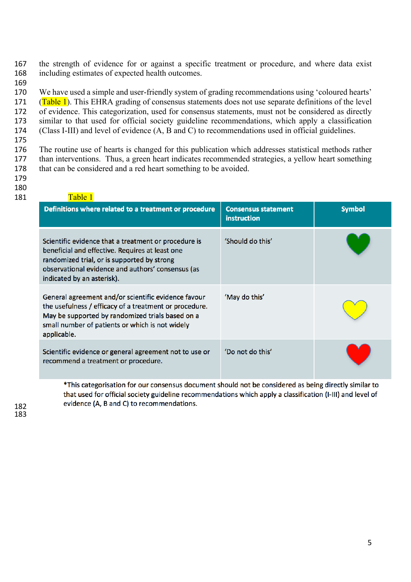the strength of evidence for or against a specific treatment or procedure, and where data exist including estimates of expected health outcomes.

 We have used a simple and user-friendly system of grading recommendations using 'coloured hearts' 171 (Table 1). This EHRA grading of consensus statements does not use separate definitions of the level of evidence. This categorization, used for consensus statements, must not be considered as directly similar to that used for official society guideline recommendations, which apply a classification (Class I-III) and level of evidence (A, B and C) to recommendations used in official guidelines.

 The routine use of hearts is changed for this publication which addresses statistical methods rather than interventions. Thus, a green heart indicates recommended strategies, a yellow heart something 178 that can be considered and a red heart something to be avoided.

- 
- 

| 181 | Table 1                                                                                                                                                                                                                                   |                                                  |               |
|-----|-------------------------------------------------------------------------------------------------------------------------------------------------------------------------------------------------------------------------------------------|--------------------------------------------------|---------------|
|     | Definitions where related to a treatment or procedure                                                                                                                                                                                     | <b>Consensus statement</b><br><b>instruction</b> | <b>Symbol</b> |
|     | Scientific evidence that a treatment or procedure is<br>beneficial and effective. Requires at least one<br>randomized trial, or is supported by strong<br>observational evidence and authors' consensus (as<br>indicated by an asterisk). | 'Should do this'                                 |               |
|     | General agreement and/or scientific evidence favour<br>the usefulness / efficacy of a treatment or procedure.<br>May be supported by randomized trials based on a<br>small number of patients or which is not widely<br>applicable.       | 'May do this'                                    |               |
|     | Scientific evidence or general agreement not to use or<br>recommend a treatment or procedure.                                                                                                                                             | 'Do not do this'                                 |               |

\*This categorisation for our consensus document should not be considered as being directly similar to that used for official society guideline recommendations which apply a classification (I-III) and level of evidence (A, B and C) to recommendations.<br>183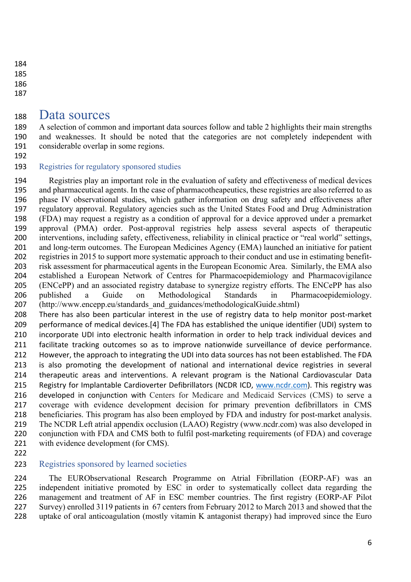### Data sources

 A selection of common and important data sources follow and table 2 highlights their main strengths and weaknesses. It should be noted that the categories are not completely independent with considerable overlap in some regions.

### Registries for regulatory sponsored studies

 Registries play an important role in the evaluation of safety and effectiveness of medical devices and pharmaceutical agents. In the case of pharmacotheapeutics, these registries are also referred to as phase IV observational studies, which gather information on drug safety and effectiveness after regulatory approval. Regulatory agencies such as the United States Food and Drug Administration (FDA) may request a registry as a condition of approval for a device approved under a premarket approval (PMA) order. Post-approval registries help assess several aspects of therapeutic interventions, including safety, effectiveness, reliability in clinical practice or "real world" settings, and long-term outcomes. The European Medicines Agency (EMA) launched an initiative for patient registries in 2015 to support more systematic approach to their conduct and use in estimating benefit- risk assessment for pharmaceutical agents in the European Economic Area. Similarly, the EMA also established a European Network of Centres for Pharmacoepidemiology and Pharmacovigilance (ENCePP) and an associated registry database to synergize registry efforts. The ENCePP has also published a Guide on Methodological Standards in Pharmacoepidemiology. 207 (http://www.encepp.eu/standards and guidances/methodologicalGuide.shtml)

 There has also been particular interest in the use of registry data to help monitor post-market 209 performance of medical devices.[4] The FDA has established the unique identifier (UDI) system to incorporate UDI into electronic health information in order to help track individual devices and facilitate tracking outcomes so as to improve nationwide surveillance of device performance. However, the approach to integrating the UDI into data sources has not been established. The FDA is also promoting the development of national and international device registries in several therapeutic areas and interventions. A relevant program is the National Cardiovascular Data 215 Registry for Implantable Cardioverter Defibrillators (NCDR ICD, www.ncdr.com). This registry was developed in conjunction with Centers for Medicare and Medicaid Services (CMS) to serve a coverage with evidence development decision for primary prevention defibrillators in CMS beneficiaries. This program has also been employed by FDA and industry for post-market analysis. The NCDR Left atrial appendix occlusion (LAAO) Registry (www.ncdr.com) was also developed in conjunction with FDA and CMS both to fulfil post-marketing requirements (of FDA) and coverage 221 with evidence development (for CMS).

### 223 Registries sponsored by learned societies

 The EURObservational Research Programme on Atrial Fibrillation (EORP-AF) was an independent initiative promoted by ESC in order to systematically collect data regarding the 226 management and treatment of AF in ESC member countries. The first registry (EORP-AF Pilot Survey) enrolled 3119 patients in 67 centers from February 2012 to March 2013 and showed that the uptake of oral anticoagulation (mostly vitamin K antagonist therapy) had improved since the Euro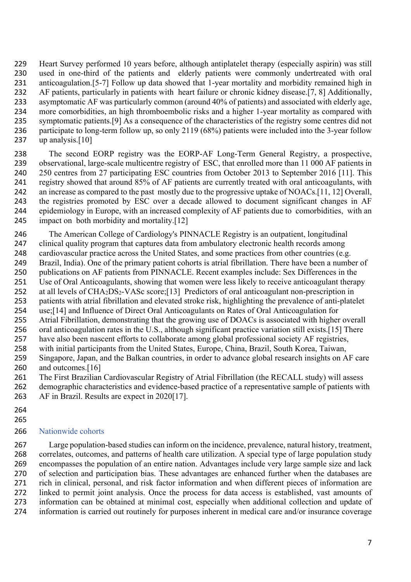Heart Survey performed 10 years before, although antiplatelet therapy (especially aspirin) was still used in one-third of the patients and elderly patients were commonly undertreated with oral anticoagulation.[5-7] Follow up data showed that 1-year mortality and morbidity remained high in AF patients, particularly in patients with heart failure or chronic kidney disease.[7, 8] Additionally, asymptomatic AF was particularly common (around 40% of patients) and associated with elderly age, more comorbidities, an high thromboembolic risks and a higher 1-year mortality as compared with symptomatic patients.[9] As a consequence of the characteristics of the registry some centres did not participate to long-term follow up, so only 2119 (68%) patients were included into the 3-year follow up analysis.[10]

 The second EORP registry was the EORP-AF Long-Term General Registry, a prospective, observational, large-scale multicentre registry of ESC, that enrolled more than 11 000 AF patients in 240 250 centres from 27 participating ESC countries from October 2013 to September 2016 [11]. This registry showed that around 85% of AF patients are currently treated with oral anticoagulants, with an increase as compared to the past mostly due to the progressive uptake of NOACs.[11, 12] Overall, the registries promoted by ESC over a decade allowed to document significant changes in AF epidemiology in Europe, with an increased complexity of AF patients due to comorbidities, with an impact on both morbidity and mortality.[12]

 The American College of Cardiology's PINNACLE Registry is an outpatient, longitudinal clinical quality program that captures data from ambulatory electronic health records among cardiovascular practice across the United States, and some practices from other countries (e.g. Brazil, India). One of the primary patient cohorts is atrial fibrillation. There have been a number of publications on AF patients from PINNACLE. Recent examples include: Sex Differences in the Use of Oral Anticoagulants, showing that women were less likely to receive anticoagulant therapy 252 at all levels of  $CHA_2DS_2-VASc$  score;[13] Predictors of oral anticoagulant non-prescription in patients with atrial fibrillation and elevated stroke risk, highlighting the prevalence of anti-platelet use;[14] and Influence of Direct Oral Anticoagulants on Rates of Oral Anticoagulation for Atrial Fibrillation, demonstrating that the growing use of DOACs is associated with higher overall oral anticoagulation rates in the U.S., although significant practice variation still exists.[15] There have also been nascent efforts to collaborate among global professional society AF registries, with initial participants from the United States, Europe, China, Brazil, South Korea, Taiwan, Singapore, Japan, and the Balkan countries, in order to advance global research insights on AF care and outcomes.[16]

261 The First Brazilian Cardiovascular Registry of Atrial Fibrillation (the RECALL study) will assess

 demographic characteristics and evidence-based practice of a representative sample of patients with AF in Brazil. Results are expect in 2020[17].

- 
- 

#### Nationwide cohorts

 Large population-based studies can inform on the incidence, prevalence, natural history, treatment, correlates, outcomes, and patterns of health care utilization. A special type of large population study encompasses the population of an entire nation. Advantages include very large sample size and lack of selection and participation bias. These advantages are enhanced further when the databases are rich in clinical, personal, and risk factor information and when different pieces of information are linked to permit joint analysis. Once the process for data access is established, vast amounts of information can be obtained at minimal cost, especially when additional collection and update of information is carried out routinely for purposes inherent in medical care and/or insurance coverage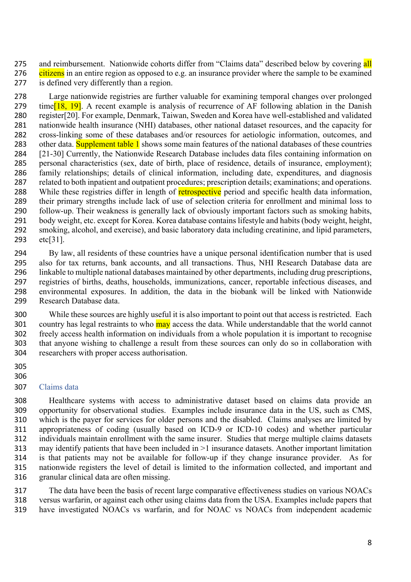275 and reimbursement. Nationwide cohorts differ from "Claims data" described below by covering all 276 citizens in an entire region as opposed to e.g. an insurance provider where the sample to be examined is defined very differently than a region.

 Large nationwide registries are further valuable for examining temporal changes over prolonged 279 time<sup>[18]</sup>. A recent example is analysis of recurrence of AF following ablation in the Danish register[20]. For example, Denmark, Taiwan, Sweden and Korea have well-established and validated nationwide health insurance (NHI) databases, other national dataset resources, and the capacity for cross-linking some of these databases and/or resources for aetiologic information, outcomes, and 283 other data. Supplement table 1 shows some main features of the national databases of these countries [21-30] Currently, the Nationwide Research Database includes data files containing information on personal characteristics (sex, date of birth, place of residence, details of insurance, employment); family relationships; details of clinical information, including date, expenditures, and diagnosis related to both inpatient and outpatient procedures; prescription details; examinations; and operations. 288 While these registries differ in length of retrospective period and specific health data information, their primary strengths include lack of use of selection criteria for enrollment and minimal loss to follow-up. Their weakness is generally lack of obviously important factors such as smoking habits, body weight, etc. except for Korea. Korea database contains lifestyle and habits (body weight, height, smoking, alcohol, and exercise), and basic laboratory data including creatinine, and lipid parameters, etc[31].

 By law, all residents of these countries have a unique personal identification number that is used also for tax returns, bank accounts, and all transactions. Thus, NHI Research Database data are linkable to multiple national databases maintained by other departments, including drug prescriptions, registries of births, deaths, households, immunizations, cancer, reportable infectious diseases, and environmental exposures. In addition, the data in the biobank will be linked with Nationwide Research Database data.

 While these sources are highly useful it is also important to point out that access is restricted. Each 301 country has legal restraints to who may access the data. While understandable that the world cannot freely access health information on individuals from a whole population it is important to recognise that anyone wishing to challenge a result from these sources can only do so in collaboration with researchers with proper access authorisation.

 

#### Claims data

 Healthcare systems with access to administrative dataset based on claims data provide an opportunity for observational studies. Examples include insurance data in the US, such as CMS, which is the payer for services for older persons and the disabled. Claims analyses are limited by appropriateness of coding (usually based on ICD-9 or ICD-10 codes) and whether particular individuals maintain enrollment with the same insurer. Studies that merge multiple claims datasets may identify patients that have been included in >1 insurance datasets. Another important limitation is that patients may not be available for follow-up if they change insurance provider. As for nationwide registers the level of detail is limited to the information collected, and important and granular clinical data are often missing.

 The data have been the basis of recent large comparative effectiveness studies on various NOACs versus warfarin, or against each other using claims data from the USA. Examples include papers that have investigated NOACs vs warfarin, and for NOAC vs NOACs from independent academic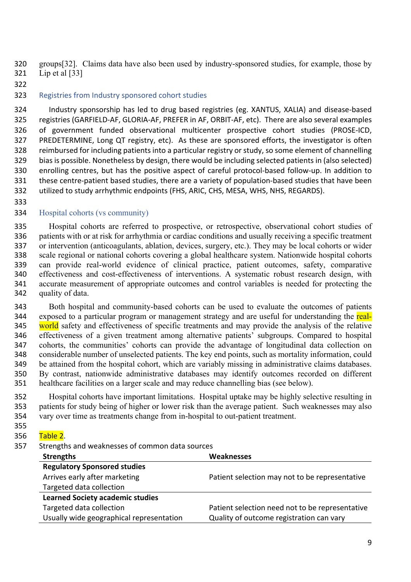groups[32]. Claims data have also been used by industry-sponsored studies, for example, those by Lip et al [33]

### Registries from Industry sponsored cohort studies

 Industry sponsorship has led to drug based registries (eg. XANTUS, XALIA) and disease-based registries (GARFIELD-AF, GLORIA-AF, PREFER in AF, ORBIT-AF, etc). There are also several examples of government funded observational multicenter prospective cohort studies (PROSE-ICD, PREDETERMINE, Long QT registry, etc). As these are sponsored efforts, the investigator is often reimbursed for including patients into a particular registry or study, so some element of channelling bias is possible. Nonetheless by design, there would be including selected patients in (also selected) enrolling centres, but has the positive aspect of careful protocol-based follow-up. In addition to these centre-patient based studies, there are a variety of population-based studies that have been utilized to study arrhythmic endpoints (FHS, ARIC, CHS, MESA, WHS, NHS, REGARDS).

#### Hospital cohorts (vs community)

 Hospital cohorts are referred to prospective, or retrospective, observational cohort studies of patients with or at risk for arrhythmia or cardiac conditions and usually receiving a specific treatment or intervention (anticoagulants, ablation, devices, surgery, etc.). They may be local cohorts or wider scale regional or national cohorts covering a global healthcare system. Nationwide hospital cohorts can provide real-world evidence of clinical practice, patient outcomes, safety, comparative effectiveness and cost-effectiveness of interventions. A systematic robust research design, with accurate measurement of appropriate outcomes and control variables is needed for protecting the quality of data.

 Both hospital and community-based cohorts can be used to evaluate the outcomes of patients 344 exposed to a particular program or management strategy and are useful for understanding the real-345 world safety and effectiveness of specific treatments and may provide the analysis of the relative effectiveness of a given treatment among alternative patients' subgroups. Compared to hospital cohorts, the communities' cohorts can provide the advantage of longitudinal data collection on considerable number of unselected patients. The key end points, such as mortality information, could be attained from the hospital cohort, which are variably missing in administrative claims databases. By contrast, nationwide administrative databases may identify outcomes recorded on different healthcare facilities on a larger scale and may reduce channelling bias (see below).

 Hospital cohorts have important limitations. Hospital uptake may be highly selective resulting in patients for study being of higher or lower risk than the average patient. Such weaknesses may also vary over time as treatments change from in-hospital to out-patient treatment.

#### 356 Table 2.

Strengths and weaknesses of common data sources

| <b>Strengths</b>                         | <b>Weaknesses</b>                               |
|------------------------------------------|-------------------------------------------------|
| <b>Regulatory Sponsored studies</b>      |                                                 |
| Arrives early after marketing            | Patient selection may not to be representative  |
| Targeted data collection                 |                                                 |
| <b>Learned Society academic studies</b>  |                                                 |
| Targeted data collection                 | Patient selection need not to be representative |
| Usually wide geographical representation | Quality of outcome registration can vary        |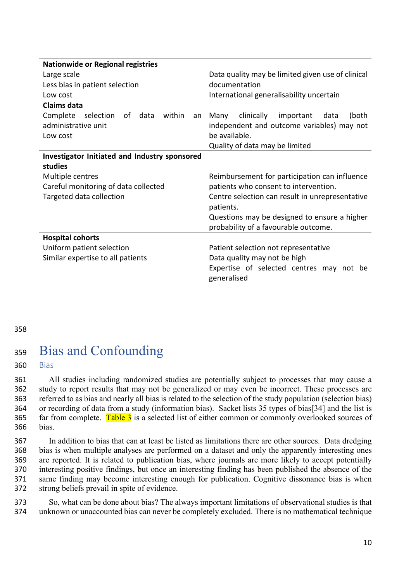| <b>Nationwide or Regional registries</b>             |                                                   |
|------------------------------------------------------|---------------------------------------------------|
| Large scale                                          | Data quality may be limited given use of clinical |
| Less bias in patient selection                       | documentation                                     |
| Low cost                                             | International generalisability uncertain          |
| <b>Claims data</b>                                   |                                                   |
| Complete selection of data<br>within<br>an           | clinically<br>important<br>data<br>Many<br>(both  |
| administrative unit                                  | independent and outcome variables) may not        |
| Low cost                                             | be available.                                     |
|                                                      | Quality of data may be limited                    |
| <b>Investigator Initiated and Industry sponsored</b> |                                                   |
| studies                                              |                                                   |
| Multiple centres                                     | Reimbursement for participation can influence     |
| Careful monitoring of data collected                 | patients who consent to intervention.             |
| Targeted data collection                             | Centre selection can result in unrepresentative   |
|                                                      | patients.                                         |
|                                                      | Questions may be designed to ensure a higher      |
|                                                      | probability of a favourable outcome.              |
| <b>Hospital cohorts</b>                              |                                                   |
| Uniform patient selection                            | Patient selection not representative              |
| Similar expertise to all patients                    | Data quality may not be high                      |
|                                                      | Expertise of selected centres may not be          |
|                                                      | generalised                                       |

#### 358

## <sup>359</sup> Bias and Confounding

360 Bias

 All studies including randomized studies are potentially subject to processes that may cause a study to report results that may not be generalized or may even be incorrect. These processes are referred to as bias and nearly all bias is related to the selection of the study population (selection bias) or recording of data from a study (information bias). Sacket lists 35 types of bias[34] and the list is 365 far from complete. Table  $3$  is a selected list of either common or commonly overlooked sources of 366 bias.

 In addition to bias that can at least be listed as limitations there are other sources. Data dredging bias is when multiple analyses are performed on a dataset and only the apparently interesting ones are reported. It is related to publication bias, where journals are more likely to accept potentially interesting positive findings, but once an interesting finding has been published the absence of the same finding may become interesting enough for publication. Cognitive dissonance bias is when strong beliefs prevail in spite of evidence.

373 So, what can be done about bias? The always important limitations of observational studies is that 374 unknown or unaccounted bias can never be completely excluded. There is no mathematical technique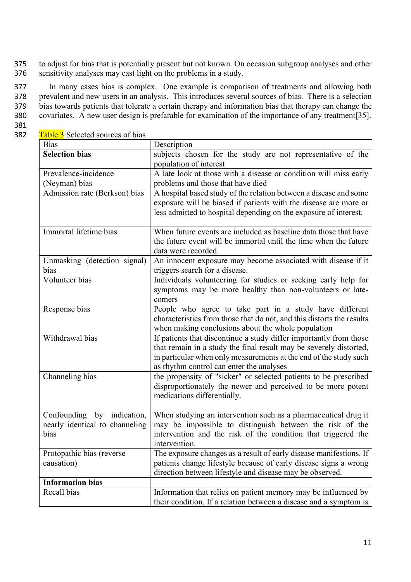375 to adjust for bias that is potentially present but not known. On occasion subgroup analyses and other 376 sensitivity analyses may cast light on the problems in a study.

 In many cases bias is complex. One example is comparison of treatments and allowing both prevalent and new users in an analysis. This introduces several sources of bias. There is a selection bias towards patients that tolerate a certain therapy and information bias that therapy can change the covariates. A new user design is prefarable for examination of the importance of any treatment[35].

- 381
- 382 Table 3 Selected sources of bias

| <b>Bias</b>                    | Description                                                                                                   |
|--------------------------------|---------------------------------------------------------------------------------------------------------------|
| <b>Selection bias</b>          | subjects chosen for the study are not representative of the                                                   |
|                                | population of interest                                                                                        |
| Prevalence-incidence           | A late look at those with a disease or condition will miss early                                              |
| (Neyman) bias                  | problems and those that have died                                                                             |
| Admission rate (Berkson) bias  | A hospital based study of the relation between a disease and some                                             |
|                                | exposure will be biased if patients with the disease are more or                                              |
|                                | less admitted to hospital depending on the exposure of interest.                                              |
|                                |                                                                                                               |
| Immortal lifetime bias         | When future events are included as baseline data those that have                                              |
|                                | the future event will be immortal until the time when the future                                              |
|                                | data were recorded.                                                                                           |
| Unmasking (detection signal)   | An innocent exposure may become associated with disease if it                                                 |
| bias                           | triggers search for a disease.                                                                                |
| Volunteer bias                 | Individuals volunteering for studies or seeking early help for                                                |
|                                | symptoms may be more healthy than non-volunteers or late-                                                     |
|                                | comers                                                                                                        |
| Response bias                  | People who agree to take part in a study have different                                                       |
|                                | characteristics from those that do not, and this distorts the results                                         |
| Withdrawal bias                | when making conclusions about the whole population                                                            |
|                                | If patients that discontinue a study differ importantly from those                                            |
|                                | that remain in a study the final result may be severely distorted,                                            |
|                                | in particular when only measurements at the end of the study such<br>as rhythm control can enter the analyses |
| Channeling bias                | the propensity of "sicker" or selected patients to be prescribed                                              |
|                                | disproportionately the newer and perceived to be more potent                                                  |
|                                | medications differentially.                                                                                   |
|                                |                                                                                                               |
| by indication,<br>Confounding  | When studying an intervention such as a pharmaceutical drug it                                                |
| nearly identical to channeling | may be impossible to distinguish between the risk of the                                                      |
| bias                           | intervention and the risk of the condition that triggered the                                                 |
|                                | intervention.                                                                                                 |
| Protopathic bias (reverse)     | The exposure changes as a result of early disease manifestions. If                                            |
| causation)                     | patients change lifestyle because of early disease signs a wrong                                              |
|                                | direction between lifestyle and disease may be observed.                                                      |
| <b>Information bias</b>        |                                                                                                               |
| Recall bias                    | Information that relies on patient memory may be influenced by                                                |
|                                | their condition. If a relation between a disease and a symptom is                                             |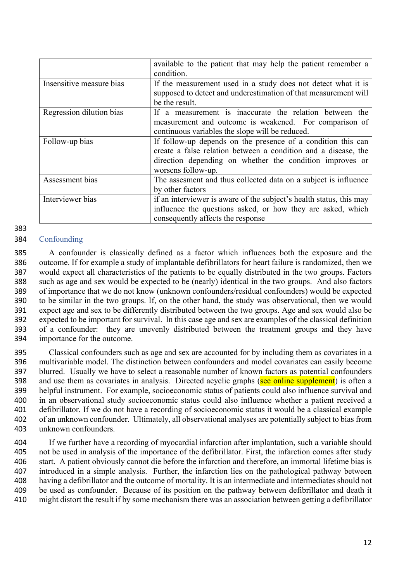|                          | available to the patient that may help the patient remember a       |
|--------------------------|---------------------------------------------------------------------|
|                          | condition.                                                          |
| Insensitive measure bias | If the measurement used in a study does not detect what it is       |
|                          | supposed to detect and underestimation of that measurement will     |
|                          | be the result.                                                      |
| Regression dilution bias | If a measurement is inaccurate the relation between the             |
|                          | measurement and outcome is weakened. For comparison of              |
|                          | continuous variables the slope will be reduced.                     |
| Follow-up bias           | If follow-up depends on the presence of a condition this can        |
|                          | create a false relation between a condition and a disease, the      |
|                          | direction depending on whether the condition improves or            |
|                          | worsens follow-up.                                                  |
| Assessment bias          | The assesment and thus collected data on a subject is influence     |
|                          | by other factors                                                    |
| Interviewer bias         | if an interviewer is aware of the subject's health status, this may |
|                          | influence the questions asked, or how they are asked, which         |
|                          | consequently affects the response                                   |

### Confounding

 A confounder is classically defined as a factor which influences both the exposure and the outcome. If for example a study of implantable defibrillators for heart failure is randomized, then we would expect all characteristics of the patients to be equally distributed in the two groups. Factors such as age and sex would be expected to be (nearly) identical in the two groups. And also factors of importance that we do not know (unknown confounders/residual confounders) would be expected to be similar in the two groups. If, on the other hand, the study was observational, then we would expect age and sex to be differently distributed between the two groups. Age and sex would also be expected to be important for survival. In this case age and sex are examples of the classical definition of a confounder: they are unevenly distributed between the treatment groups and they have importance for the outcome.

 Classical confounders such as age and sex are accounted for by including them as covariates in a multivariable model. The distinction between confounders and model covariates can easily become blurred. Usually we have to select a reasonable number of known factors as potential confounders 398 and use them as covariates in analysis. Directed acyclic graphs (see online supplement) is often a helpful instrument. For example, socioeconomic status of patients could also influence survival and in an observational study socioeconomic status could also influence whether a patient received a defibrillator. If we do not have a recording of socioeconomic status it would be a classical example of an unknown confounder. Ultimately, all observational analyses are potentially subject to bias from unknown confounders.

 If we further have a recording of myocardial infarction after implantation, such a variable should not be used in analysis of the importance of the defibrillator. First, the infarction comes after study start. A patient obviously cannot die before the infarction and therefore, an immortal lifetime bias is introduced in a simple analysis. Further, the infarction lies on the pathological pathway between having a defibrillator and the outcome of mortality. It is an intermediate and intermediates should not be used as confounder. Because of its position on the pathway between defibrillator and death it might distort the result if by some mechanism there was an association between getting a defibrillator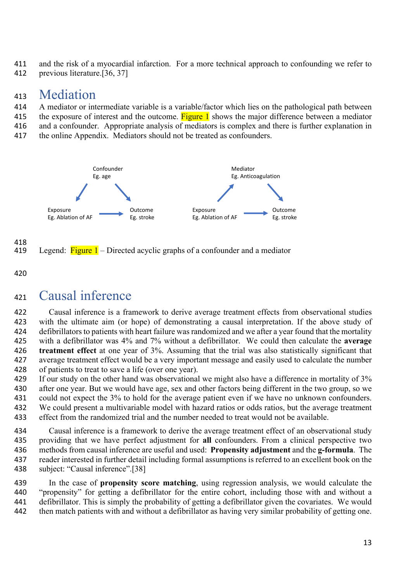and the risk of a myocardial infarction. For a more technical approach to confounding we refer to

previous literature.[36, 37]

### Mediation

- A mediator or intermediate variable is a variable/factor which lies on the pathological path between
- 415 the exposure of interest and the outcome. Figure 1 shows the major difference between a mediator
- and a confounder. Appropriate analysis of mediators is complex and there is further explanation in
- 417 the online Appendix. Mediators should not be treated as confounders.



- 418<br>419 Legend: Figure – Directed acyclic graphs of a confounder and a mediator
- 

# Causal inference

 Causal inference is a framework to derive average treatment effects from observational studies with the ultimate aim (or hope) of demonstrating a causal interpretation. If the above study of defibrillators to patients with heart failure was randomized and we after a year found that the mortality with a defibrillator was 4% and 7% without a defibrillator. We could then calculate the **average treatment effect** at one year of 3%. Assuming that the trial was also statistically significant that average treatment effect would be a very important message and easily used to calculate the number of patients to treat to save a life (over one year).

429 If our study on the other hand was observational we might also have a difference in mortality of 3% after one year. But we would have age, sex and other factors being different in the two group, so we 431 could not expect the 3% to hold for the average patient even if we have no unknown confounders. We could present a multivariable model with hazard ratios or odds ratios, but the average treatment effect from the randomized trial and the number needed to treat would not be available.

 Causal inference is a framework to derive the average treatment effect of an observational study providing that we have perfect adjustment for **all** confounders. From a clinical perspective two methods from causal inference are useful and used: **Propensity adjustment** and the **g-formula**. The reader interested in further detail including formal assumptions is referred to an excellent book on the subject: "Causal inference".[38]

 In the case of **propensity score matching**, using regression analysis, we would calculate the "propensity" for getting a defibrillator for the entire cohort, including those with and without a defibrillator. This is simply the probability of getting a defibrillator given the covariates. We would then match patients with and without a defibrillator as having very similar probability of getting one.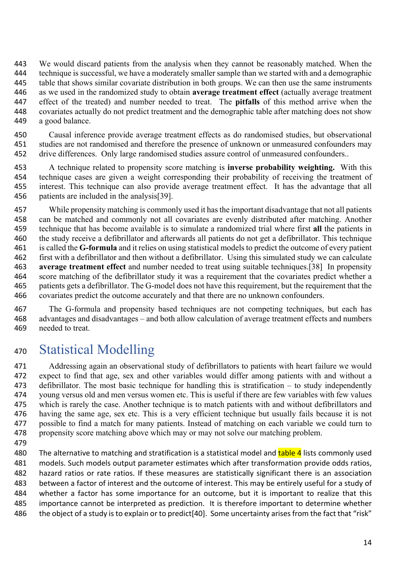We would discard patients from the analysis when they cannot be reasonably matched. When the technique is successful, we have a moderately smaller sample than we started with and a demographic table that shows similar covariate distribution in both groups. We can then use the same instruments as we used in the randomized study to obtain **average treatment effect** (actually average treatment effect of the treated) and number needed to treat. The **pitfalls** of this method arrive when the covariates actually do not predict treatment and the demographic table after matching does not show a good balance.

 Causal inference provide average treatment effects as do randomised studies, but observational studies are not randomised and therefore the presence of unknown or unmeasured confounders may 452 drive differences. Only large randomised studies assure control of unmeasured confounders..

 A technique related to propensity score matching is **inverse probability weighting.** With this technique cases are given a weight corresponding their probability of receiving the treatment of interest. This technique can also provide average treatment effect. It has the advantage that all patients are included in the analysis[39].

 While propensity matching is commonly used it has the important disadvantage that not all patients can be matched and commonly not all covariates are evenly distributed after matching. Another technique that has become available is to simulate a randomized trial where first **all** the patients in the study receive a defibrillator and afterwards all patients do not get a defibrillator. This technique is called the **G-formula** and it relies on using statistical models to predict the outcome of every patient first with a defibrillator and then without a defibrillator. Using this simulated study we can calculate **average treatment effect** and number needed to treat using suitable techniques.[38] In propensity score matching of the defibrillator study it was a requirement that the covariates predict whether a patients gets a defibrillator. The G-model does not have this requirement, but the requirement that the covariates predict the outcome accurately and that there are no unknown confounders.

 The G-formula and propensity based techniques are not competing techniques, but each has advantages and disadvantages – and both allow calculation of average treatment effects and numbers needed to treat.

# Statistical Modelling

 Addressing again an observational study of defibrillators to patients with heart failure we would expect to find that age, sex and other variables would differ among patients with and without a defibrillator. The most basic technique for handling this is stratification – to study independently young versus old and men versus women etc. This is useful if there are few variables with few values which is rarely the case. Another technique is to match patients with and without defibrillators and having the same age, sex etc. This is a very efficient technique but usually fails because it is not possible to find a match for many patients. Instead of matching on each variable we could turn to propensity score matching above which may or may not solve our matching problem.

480 The alternative to matching and stratification is a statistical model and table 4 lists commonly used models. Such models output parameter estimates which after transformation provide odds ratios, hazard ratios or rate ratios. If these measures are statistically significant there is an association between a factor of interest and the outcome of interest. This may be entirely useful for a study of whether a factor has some importance for an outcome, but it is important to realize that this importance cannot be interpreted as prediction. It is therefore important to determine whether the object of a study is to explain or to predict[40]. Some uncertainty arises from the fact that "risk"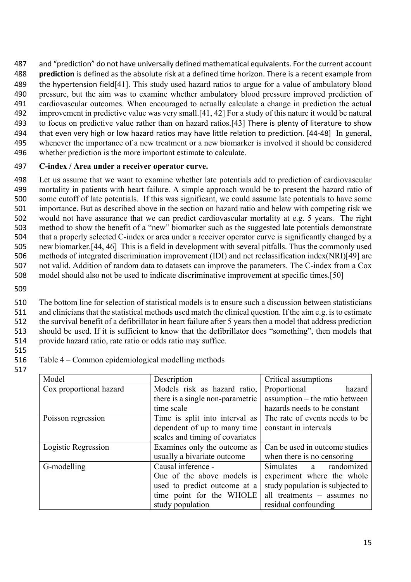and "prediction" do not have universally defined mathematical equivalents. For the current account **prediction** is defined as the absolute risk at a defined time horizon. There is a recent example from the hypertension field[41]. This study used hazard ratios to argue for a value of ambulatory blood pressure, but the aim was to examine whether ambulatory blood pressure improved prediction of cardiovascular outcomes. When encouraged to actually calculate a change in prediction the actual improvement in predictive value was very small.[41, 42] For a study of this nature it would be natural to focus on predictive value rather than on hazard ratios.[43] There is plenty of literature to show that even very high or low hazard ratios may have little relation to prediction. [44-48] In general, whenever the importance of a new treatment or a new biomarker is involved it should be considered whether prediction is the more important estimate to calculate.

#### 497 **C-index / Area under a receiver operator curve.**

 Let us assume that we want to examine whether late potentials add to prediction of cardiovascular mortality in patients with heart failure. A simple approach would be to present the hazard ratio of some cutoff of late potentials. If this was significant, we could assume late potentials to have some importance. But as described above in the section on hazard ratio and below with competing risk we would not have assurance that we can predict cardiovascular mortality at e.g. 5 years. The right method to show the benefit of a "new" biomarker such as the suggested late potentials demonstrate that a properly selected C-index or area under a receiver operator curve is significantly changed by a new biomarker.[44, 46] This is a field in development with several pitfalls. Thus the commonly used methods of integrated discrimination improvement (IDI) and net reclassification index(NRI)[49] are not valid. Addition of random data to datasets can improve the parameters. The C-index from a Cox model should also not be used to indicate discriminative improvement at specific times.[50]

509

 The bottom line for selection of statistical models is to ensure such a discussion between statisticians and clinicians that the statistical methods used match the clinical question. If the aim e.g. is to estimate the survival benefit of a defibrillator in heart failure after 5 years then a model that address prediction should be used. If it is sufficient to know that the defibrillator does "something", then models that provide hazard ratio, rate ratio or odds ratio may suffice.

- 515
- 516 Table 4 Common epidemiological modelling methods
- 517

| Model                   | Description                      | Critical assumptions             |
|-------------------------|----------------------------------|----------------------------------|
| Cox proportional hazard | Models risk as hazard ratio,     | Proportional<br>hazard           |
|                         | there is a single non-parametric | assumption – the ratio between   |
|                         | time scale                       | hazards needs to be constant     |
| Poisson regression      | Time is split into interval as   | The rate of events needs to be.  |
|                         | dependent of up to many time     | constant in intervals            |
|                         | scales and timing of covariates  |                                  |
| Logistic Regression     | Examines only the outcome as     | Can be used in outcome studies   |
|                         | usually a bivariate outcome      | when there is no censoring       |
| G-modelling             | Causal inference -               | Simulates a randomized           |
|                         | One of the above models is       | experiment where the whole       |
|                         | used to predict outcome at a     | study population is subjected to |
|                         | time point for the WHOLE         | all treatments - assumes no      |
|                         | study population                 | residual confounding             |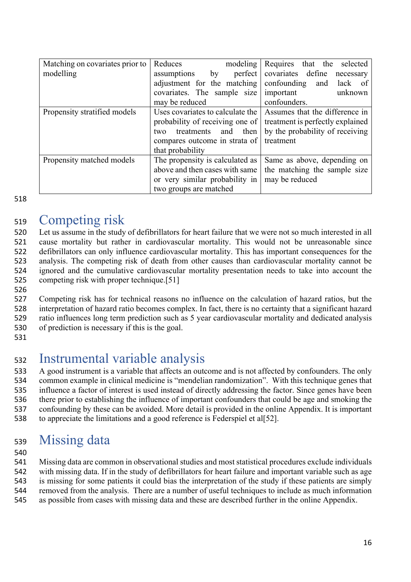| Matching on covariates prior to | Reduces<br>modeling              | Requires that the selected       |
|---------------------------------|----------------------------------|----------------------------------|
| modelling                       | perfect  <br>assumptions<br>by   | covariates define<br>necessary   |
|                                 | adjustment for the matching      | confounding<br>and lack of       |
|                                 | covariates. The sample size      | important<br>unknown             |
|                                 | may be reduced                   | confounders.                     |
| Propensity stratified models    | Uses covariates to calculate the | Assumes that the difference in   |
|                                 | probability of receiving one of  | treatment is perfectly explained |
|                                 | and then<br>treatments<br>two    | by the probability of receiving  |
|                                 | compares outcome in strata of    | treatment                        |
|                                 | that probability                 |                                  |
| Propensity matched models       | The propensity is calculated as  | Same as above, depending on      |
|                                 | above and then cases with same   | the matching the sample size     |
|                                 | or very similar probability in   | may be reduced                   |
|                                 | two groups are matched           |                                  |

518

### <sup>519</sup> Competing risk

 Let us assume in the study of defibrillators for heart failure that we were not so much interested in all cause mortality but rather in cardiovascular mortality. This would not be unreasonable since defibrillators can only influence cardiovascular mortality. This has important consequences for the analysis. The competing risk of death from other causes than cardiovascular mortality cannot be ignored and the cumulative cardiovascular mortality presentation needs to take into account the competing risk with proper technique.[51]

 Competing risk has for technical reasons no influence on the calculation of hazard ratios, but the interpretation of hazard ratio becomes complex. In fact, there is no certainty that a significant hazard ratio influences long term prediction such as 5 year cardiovascular mortality and dedicated analysis of prediction is necessary if this is the goal.

531

526

# <sup>532</sup> Instrumental variable analysis

 A good instrument is a variable that affects an outcome and is not affected by confounders. The only common example in clinical medicine is "mendelian randomization". With this technique genes that influence a factor of interest is used instead of directly addressing the factor. Since genes have been there prior to establishing the influence of important confounders that could be age and smoking the confounding by these can be avoided. More detail is provided in the online Appendix. It is important to appreciate the limitations and a good reference is Federspiel et al[52].

# <sup>539</sup> Missing data

540

 Missing data are common in observational studies and most statistical procedures exclude individuals with missing data. If in the study of defibrillators for heart failure and important variable such as age is missing for some patients it could bias the interpretation of the study if these patients are simply removed from the analysis. There are a number of useful techniques to include as much information as possible from cases with missing data and these are described further in the online Appendix.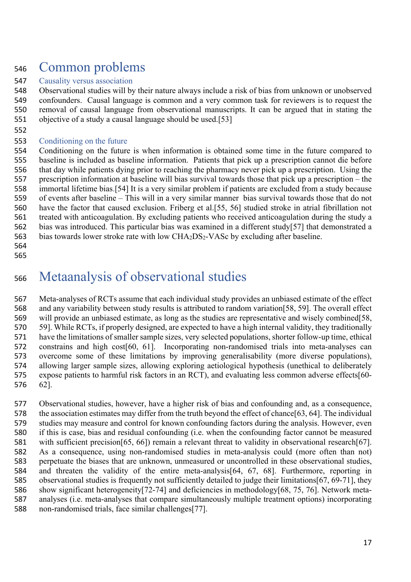## Common problems

### Causality versus association

 Observational studies will by their nature always include a risk of bias from unknown or unobserved confounders. Causal language is common and a very common task for reviewers is to request the removal of causal language from observational manuscripts. It can be argued that in stating the objective of a study a causal language should be used.[53]

#### Conditioning on the future

 Conditioning on the future is when information is obtained some time in the future compared to baseline is included as baseline information. Patients that pick up a prescription cannot die before that day while patients dying prior to reaching the pharmacy never pick up a prescription. Using the prescription information at baseline will bias survival towards those that pick up a prescription – the immortal lifetime bias.[54] It is a very similar problem if patients are excluded from a study because of events after baseline – This will in a very similar manner bias survival towards those that do not have the factor that caused exclusion. Friberg et al.[55, 56] studied stroke in atrial fibrillation not treated with anticoagulation. By excluding patients who received anticoagulation during the study a bias was introduced. This particular bias was examined in a different study[57] that demonstrated a 563 bias towards lower stroke rate with low CHA<sub>2</sub>DS<sub>2</sub>-VASc by excluding after baseline.

 

## Metaanalysis of observational studies

 Meta-analyses of RCTs assume that each individual study provides an unbiased estimate of the effect and any variability between study results is attributed to random variation[58, 59]. The overall effect will provide an unbiased estimate, as long as the studies are representative and wisely combined[58, 59]. While RCTs, if properly designed, are expected to have a high internal validity, they traditionally have the limitations of smaller sample sizes, very selected populations, shorter follow-up time, ethical constrains and high cost[60, 61]. Incorporating non-randomised trials into meta-analyses can overcome some of these limitations by improving generalisability (more diverse populations), allowing larger sample sizes, allowing exploring aetiological hypothesis (unethical to deliberately expose patients to harmful risk factors in an RCT), and evaluating less common adverse effects[60- 62].

 Observational studies, however, have a higher risk of bias and confounding and, as a consequence, the association estimates may differ from the truth beyond the effect of chance[63, 64]. The individual studies may measure and control for known confounding factors during the analysis. However, even if this is case, bias and residual confounding (i.e. when the confounding factor cannot be measured with sufficient precision[65, 66]) remain a relevant threat to validity in observational research[67]. As a consequence, using non-randomised studies in meta-analysis could (more often than not) perpetuate the biases that are unknown, unmeasured or uncontrolled in these observational studies, and threaten the validity of the entire meta-analysis[64, 67, 68]. Furthermore, reporting in observational studies is frequently not sufficiently detailed to judge their limitations[67, 69-71], they show significant heterogeneity[72-74] and deficiencies in methodology[68, 75, 76]. Network meta- analyses (i.e. meta-analyses that compare simultaneously multiple treatment options) incorporating non-randomised trials, face similar challenges[77].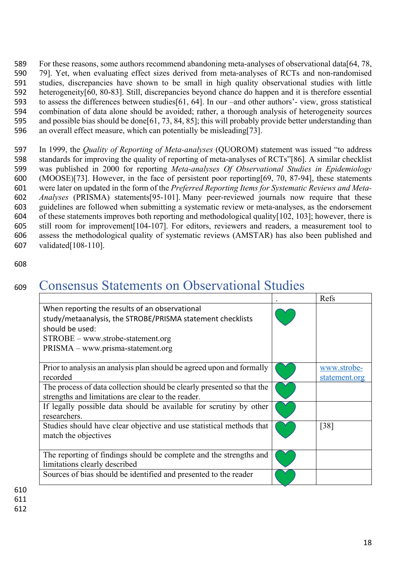For these reasons, some authors recommend abandoning meta-analyses of observational data[64, 78, 79]. Yet, when evaluating effect sizes derived from meta-analyses of RCTs and non-randomised studies, discrepancies have shown to be small in high quality observational studies with little heterogeneity[60, 80-83]. Still, discrepancies beyond chance do happen and it is therefore essential to assess the differences between studies[61, 64]. In our –and other authors'- view, gross statistical combination of data alone should be avoided; rather, a thorough analysis of heterogeneity sources and possible bias should be done[61, 73, 84, 85]; this will probably provide better understanding than an overall effect measure, which can potentially be misleading[73].

 In 1999, the *Quality of Reporting of Meta-analyses* (QUOROM) statement was issued "to address standards for improving the quality of reporting of meta-analyses of RCTs"[86]. A similar checklist was published in 2000 for reporting *Meta-analyses Of Observational Studies in Epidemiology* (MOOSE)[73]. However, in the face of persistent poor reporting[69, 70, 87-94], these statements were later on updated in the form of the *Preferred Reporting Items for Systematic Reviews and Meta- Analyses* (PRISMA) statements[95-101]. Many peer-reviewed journals now require that these 603 guidelines are followed when submitting a systematic review or meta-analyses, as the endorsement of these statements improves both reporting and methodological quality [102, 103]; however, there is of these statements improves both reporting and methodological quality[102, 103]; however, there is still room for improvement[104-107]. For editors, reviewers and readers, a measurement tool to assess the methodological quality of systematic reviews (AMSTAR) has also been published and validated[108-110].

608

## <sup>609</sup> Consensus Statements on Observational Studies

| When reporting the results of an observational<br>study/metaanalysis, the STROBE/PRISMA statement checklists |  |
|--------------------------------------------------------------------------------------------------------------|--|
|                                                                                                              |  |
|                                                                                                              |  |
| should be used:                                                                                              |  |
| $STROBE - www.strobe-statement.org$                                                                          |  |
| PRISMA – www.prisma-statement.org                                                                            |  |
|                                                                                                              |  |
| Prior to analysis an analysis plan should be agreed upon and formally<br>www.strobe-                         |  |
| recorded<br>statement.org                                                                                    |  |
| The process of data collection should be clearly presented so that the                                       |  |
| strengths and limitations are clear to the reader.                                                           |  |
| If legally possible data should be available for scrutiny by other                                           |  |
| researchers.                                                                                                 |  |
| Studies should have clear objective and use statistical methods that<br>$\lceil 38 \rceil$                   |  |
| match the objectives                                                                                         |  |
|                                                                                                              |  |
| The reporting of findings should be complete and the strengths and                                           |  |
| limitations clearly described                                                                                |  |
| Sources of bias should be identified and presented to the reader                                             |  |

611

612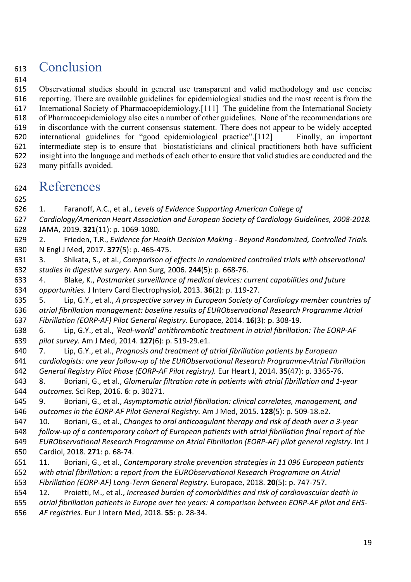## Conclusion

 Observational studies should in general use transparent and valid methodology and use concise reporting. There are available guidelines for epidemiological studies and the most recent is from the International Society of Pharmacoepidemiology.[111] The guideline from the International Society of Pharmacoepidemiology also cites a number of other guidelines. None of the recommendations are in discordance with the current consensus statement. There does not appear to be widely accepted international guidelines for "good epidemiological practice".[112] Finally, an important intermediate step is to ensure that biostatisticians and clinical practitioners both have sufficient insight into the language and methods of each other to ensure that valid studies are conducted and the many pitfalls avoided.

### References

1. Faranoff, A.C., et al., *Levels of Evidence Supporting American College of* 

 *Cardiology/American Heart Association and European Society of Cardiology Guidelines, 2008-2018.* JAMA, 2019. **321**(11): p. 1069-1080.

 2. Frieden, T.R., *Evidence for Health Decision Making - Beyond Randomized, Controlled Trials.* N Engl J Med, 2017. **377**(5): p. 465-475.

 3. Shikata, S., et al., *Comparison of effects in randomized controlled trials with observational studies in digestive surgery.* Ann Surg, 2006. **244**(5): p. 668-76.

 4. Blake, K., *Postmarket surveillance of medical devices: current capabilities and future opportunities.* J Interv Card Electrophysiol, 2013. **36**(2): p. 119-27.

 5. Lip, G.Y., et al., *A prospective survey in European Society of Cardiology member countries of atrial fibrillation management: baseline results of EURObservational Research Programme Atrial Fibrillation (EORP-AF) Pilot General Registry.* Europace, 2014. **16**(3): p. 308-19.

 6. Lip, G.Y., et al., *'Real-world' antithrombotic treatment in atrial fibrillation: The EORP-AF pilot survey.* Am J Med, 2014. **127**(6): p. 519-29.e1.

 7. Lip, G.Y., et al., *Prognosis and treatment of atrial fibrillation patients by European cardiologists: one year follow-up of the EURObservational Research Programme-Atrial Fibrillation General Registry Pilot Phase (EORP-AF Pilot registry).* Eur Heart J, 2014. **35**(47): p. 3365-76.

 8. Boriani, G., et al., *Glomerular filtration rate in patients with atrial fibrillation and 1-year outcomes.* Sci Rep, 2016. **6**: p. 30271.

 9. Boriani, G., et al., *Asymptomatic atrial fibrillation: clinical correlates, management, and outcomes in the EORP-AF Pilot General Registry.* Am J Med, 2015. **128**(5): p. 509-18.e2.

 10. Boriani, G., et al., *Changes to oral anticoagulant therapy and risk of death over a 3-year follow-up of a contemporary cohort of European patients with atrial fibrillation final report of the EURObservational Research Programme on Atrial Fibrillation (EORP-AF) pilot general registry.* Int J Cardiol, 2018. **271**: p. 68-74.

 11. Boriani, G., et al., *Contemporary stroke prevention strategies in 11 096 European patients with atrial fibrillation: a report from the EURObservational Research Programme on Atrial Fibrillation (EORP-AF) Long-Term General Registry.* Europace, 2018. **20**(5): p. 747-757.

 12. Proietti, M., et al., *Increased burden of comorbidities and risk of cardiovascular death in atrial fibrillation patients in Europe over ten years: A comparison between EORP-AF pilot and EHS-*

*AF registries.* Eur J Intern Med, 2018. **55**: p. 28-34.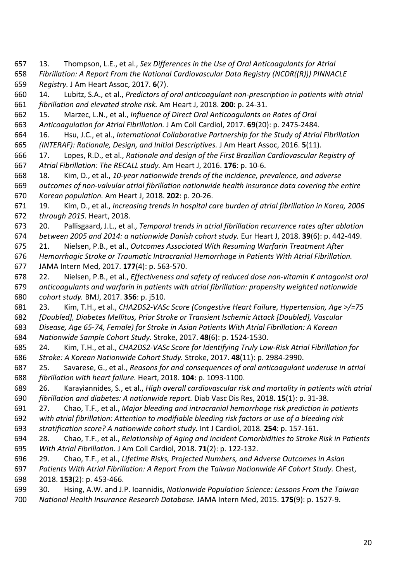13. Thompson, L.E., et al., *Sex Differences in the Use of Oral Anticoagulants for Atrial* 

 *Fibrillation: A Report From the National Cardiovascular Data Registry (NCDR((R))) PINNACLE Registry.* J Am Heart Assoc, 2017. **6**(7).

 14. Lubitz, S.A., et al., *Predictors of oral anticoagulant non-prescription in patients with atrial fibrillation and elevated stroke risk.* Am Heart J, 2018. **200**: p. 24-31.

15. Marzec, L.N., et al., *Influence of Direct Oral Anticoagulants on Rates of Oral* 

*Anticoagulation for Atrial Fibrillation.* J Am Coll Cardiol, 2017. **69**(20): p. 2475-2484.

 16. Hsu, J.C., et al., *International Collaborative Partnership for the Study of Atrial Fibrillation (INTERAF): Rationale, Design, and Initial Descriptives.* J Am Heart Assoc, 2016. **5**(11).

 17. Lopes, R.D., et al., *Rationale and design of the First Brazilian Cardiovascular Registry of Atrial Fibrillation: The RECALL study.* Am Heart J, 2016. **176**: p. 10-6.

 18. Kim, D., et al., *10-year nationwide trends of the incidence, prevalence, and adverse outcomes of non-valvular atrial fibrillation nationwide health insurance data covering the entire Korean population.* Am Heart J, 2018. **202**: p. 20-26.

 19. Kim, D., et al., *Increasing trends in hospital care burden of atrial fibrillation in Korea, 2006 through 2015.* Heart, 2018.

 20. Pallisgaard, J.L., et al., *Temporal trends in atrial fibrillation recurrence rates after ablation between 2005 and 2014: a nationwide Danish cohort study.* Eur Heart J, 2018. **39**(6): p. 442-449.

 21. Nielsen, P.B., et al., *Outcomes Associated With Resuming Warfarin Treatment After Hemorrhagic Stroke or Traumatic Intracranial Hemorrhage in Patients With Atrial Fibrillation.*

JAMA Intern Med, 2017. **177**(4): p. 563-570.

 22. Nielsen, P.B., et al., *Effectiveness and safety of reduced dose non-vitamin K antagonist oral anticoagulants and warfarin in patients with atrial fibrillation: propensity weighted nationwide cohort study.* BMJ, 2017. **356**: p. j510.

 23. Kim, T.H., et al., *CHA2DS2-VASc Score (Congestive Heart Failure, Hypertension, Age >/=75 [Doubled], Diabetes Mellitus, Prior Stroke or Transient Ischemic Attack [Doubled], Vascular Disease, Age 65-74, Female) for Stroke in Asian Patients With Atrial Fibrillation: A Korean* 

*Nationwide Sample Cohort Study.* Stroke, 2017. **48**(6): p. 1524-1530.

 24. Kim, T.H., et al., *CHA2DS2-VASc Score for Identifying Truly Low-Risk Atrial Fibrillation for Stroke: A Korean Nationwide Cohort Study.* Stroke, 2017. **48**(11): p. 2984-2990.

 25. Savarese, G., et al., *Reasons for and consequences of oral anticoagulant underuse in atrial fibrillation with heart failure.* Heart, 2018. **104**: p. 1093-1100.

 26. Karayiannides, S., et al., *High overall cardiovascular risk and mortality in patients with atrial fibrillation and diabetes: A nationwide report.* Diab Vasc Dis Res, 2018. **15**(1): p. 31-38.

27. Chao, T.F., et al., *Major bleeding and intracranial hemorrhage risk prediction in patients* 

*with atrial fibrillation: Attention to modifiable bleeding risk factors or use of a bleeding risk* 

*stratification score? A nationwide cohort study.* Int J Cardiol, 2018. **254**: p. 157-161.

 28. Chao, T.F., et al., *Relationship of Aging and Incident Comorbidities to Stroke Risk in Patients With Atrial Fibrillation.* J Am Coll Cardiol, 2018. **71**(2): p. 122-132.

29. Chao, T.F., et al., *Lifetime Risks, Projected Numbers, and Adverse Outcomes in Asian* 

 *Patients With Atrial Fibrillation: A Report From the Taiwan Nationwide AF Cohort Study.* Chest, 2018. **153**(2): p. 453-466.

30. Hsing, A.W. and J.P. Ioannidis, *Nationwide Population Science: Lessons From the Taiwan* 

*National Health Insurance Research Database.* JAMA Intern Med, 2015. **175**(9): p. 1527-9.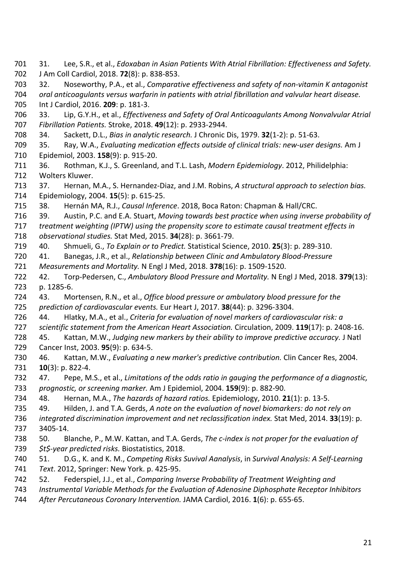Int J Cardiol, 2016. **209**: p. 181-3. 33. Lip, G.Y.H., et al., *Effectiveness and Safety of Oral Anticoagulants Among Nonvalvular Atrial Fibrillation Patients.* Stroke, 2018. **49**(12): p. 2933-2944. 34. Sackett, D.L., *Bias in analytic research.* J Chronic Dis, 1979. **32**(1-2): p. 51-63. 35. Ray, W.A., *Evaluating medication effects outside of clinical trials: new-user designs.* Am J Epidemiol, 2003. **158**(9): p. 915-20. 36. Rothman, K.J., S. Greenland, and T.L. Lash, *Modern Epidemiology*. 2012, Philidelphia: Wolters Kluwer. 37. Hernan, M.A., S. Hernandez-Diaz, and J.M. Robins, *A structural approach to selection bias.* Epidemiology, 2004. **15**(5): p. 615-25. 38. Hernán MA, R.J., *Causal Inference*. 2018, Boca Raton: Chapman & Hall/CRC. 39. Austin, P.C. and E.A. Stuart, *Moving towards best practice when using inverse probability of treatment weighting (IPTW) using the propensity score to estimate causal treatment effects in observational studies.* Stat Med, 2015. **34**(28): p. 3661-79. 40. Shmueli, G., *To Explain or to Predict.* Statistical Science, 2010. **25**(3): p. 289-310. 41. Banegas, J.R., et al., *Relationship between Clinic and Ambulatory Blood-Pressure Measurements and Mortality.* N Engl J Med, 2018. **378**(16): p. 1509-1520. 42. Torp-Pedersen, C., *Ambulatory Blood Pressure and Mortality.* N Engl J Med, 2018. **379**(13): p. 1285-6. 43. Mortensen, R.N., et al., *Office blood pressure or ambulatory blood pressure for the prediction of cardiovascular events.* Eur Heart J, 2017. **38**(44): p. 3296-3304. 44. Hlatky, M.A., et al., *Criteria for evaluation of novel markers of cardiovascular risk: a scientific statement from the American Heart Association.* Circulation, 2009. **119**(17): p. 2408-16. 45. Kattan, M.W., *Judging new markers by their ability to improve predictive accuracy.* J Natl Cancer Inst, 2003. **95**(9): p. 634-5. 46. Kattan, M.W., *Evaluating a new marker's predictive contribution.* Clin Cancer Res, 2004. **10**(3): p. 822-4. 47. Pepe, M.S., et al., *Limitations of the odds ratio in gauging the performance of a diagnostic, prognostic, or screening marker.* Am J Epidemiol, 2004. **159**(9): p. 882-90. 48. Hernan, M.A., *The hazards of hazard ratios.* Epidemiology, 2010. **21**(1): p. 13-5. 49. Hilden, J. and T.A. Gerds, *A note on the evaluation of novel biomarkers: do not rely on integrated discrimination improvement and net reclassification index.* Stat Med, 2014. **33**(19): p. 3405-14. 50. Blanche, P., M.W. Kattan, and T.A. Gerds, *The c-index is not proper for the evaluation of \$t\$-year predicted risks.* Biostatistics, 2018. 51. D.G., K. and K. M., *Competing Risks Suvival Aanalysis*, in *Survival Analysis: A Self-Learning Text*. 2012, Springer: New York. p. 425-95. 52. Federspiel, J.J., et al., *Comparing Inverse Probability of Treatment Weighting and Instrumental Variable Methods for the Evaluation of Adenosine Diphosphate Receptor Inhibitors After Percutaneous Coronary Intervention.* JAMA Cardiol, 2016. **1**(6): p. 655-65.

31. Lee, S.R., et al., *Edoxaban in Asian Patients With Atrial Fibrillation: Effectiveness and Safety.*

 32. Noseworthy, P.A., et al., *Comparative effectiveness and safety of non-vitamin K antagonist oral anticoagulants versus warfarin in patients with atrial fibrillation and valvular heart disease.*

J Am Coll Cardiol, 2018. **72**(8): p. 838-853.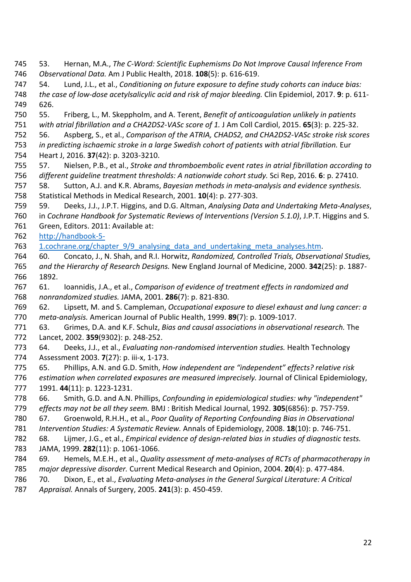53. Hernan, M.A., *The C-Word: Scientific Euphemisms Do Not Improve Causal Inference From Observational Data.* Am J Public Health, 2018. **108**(5): p. 616-619. 54. Lund, J.L., et al., *Conditioning on future exposure to define study cohorts can induce bias: the case of low-dose acetylsalicylic acid and risk of major bleeding.* Clin Epidemiol, 2017. **9**: p. 611- 626. 55. Friberg, L., M. Skeppholm, and A. Terent, *Benefit of anticoagulation unlikely in patients with atrial fibrillation and a CHA2DS2-VASc score of 1.* J Am Coll Cardiol, 2015. **65**(3): p. 225-32. 56. Aspberg, S., et al., *Comparison of the ATRIA, CHADS2, and CHA2DS2-VASc stroke risk scores in predicting ischaemic stroke in a large Swedish cohort of patients with atrial fibrillation.* Eur Heart J, 2016. **37**(42): p. 3203-3210. 57. Nielsen, P.B., et al., *Stroke and thromboembolic event rates in atrial fibrillation according to different guideline treatment thresholds: A nationwide cohort study.* Sci Rep, 2016. **6**: p. 27410. 58. Sutton, A.J. and K.R. Abrams, *Bayesian methods in meta-analysis and evidence synthesis.* Statistical Methods in Medical Research, 2001. **10**(4): p. 277-303. 59. Deeks, J.J., J.P.T. Higgins, and D.G. Altman, *Analysing Data and Undertaking Meta-Analyses*, in *Cochrane Handbook for Systematic Reviews of Interventions (Version 5.1.0)*, J.P.T. Higgins and S. Green, Editors. 2011: Available at: http://handbook-5- 763 1.cochrane.org/chapter 9/9 analysing data and undertaking meta analyses.htm. 60. Concato, J., N. Shah, and R.I. Horwitz, *Randomized, Controlled Trials, Observational Studies, and the Hierarchy of Research Designs.* New England Journal of Medicine, 2000. **342**(25): p. 1887- 1892. 61. Ioannidis, J.A., et al., *Comparison of evidence of treatment effects in randomized and nonrandomized studies.* JAMA, 2001. **286**(7): p. 821-830. 62. Lipsett, M. and S. Campleman, *Occupational exposure to diesel exhaust and lung cancer: a meta-analysis.* American Journal of Public Health, 1999. **89**(7): p. 1009-1017. 63. Grimes, D.A. and K.F. Schulz, *Bias and causal associations in observational research.* The Lancet, 2002. **359**(9302): p. 248-252. 64. Deeks, J.J., et al., *Evaluating non-randomised intervention studies.* Health Technology Assessment 2003. **7**(27): p. iii-x, 1-173. 65. Phillips, A.N. and G.D. Smith, *How independent are "independent" effects? relative risk estimation when correlated exposures are measured imprecisely.* Journal of Clinical Epidemiology, 1991. **44**(11): p. 1223-1231. 66. Smith, G.D. and A.N. Phillips, *Confounding in epidemiological studies: why "independent" effects may not be all they seem.* BMJ : British Medical Journal, 1992. **305**(6856): p. 757-759. 67. Groenwold, R.H.H., et al., *Poor Quality of Reporting Confounding Bias in Observational Intervention Studies: A Systematic Review.* Annals of Epidemiology, 2008. **18**(10): p. 746-751. 68. Lijmer, J.G., et al., *Empirical evidence of design-related bias in studies of diagnostic tests.* JAMA, 1999. **282**(11): p. 1061-1066. 69. Hemels, M.E.H., et al., *Quality assessment of meta-analyses of RCTs of pharmacotherapy in major depressive disorder.* Current Medical Research and Opinion, 2004. **20**(4): p. 477-484. 70. Dixon, E., et al., *Evaluating Meta-analyses in the General Surgical Literature: A Critical Appraisal.* Annals of Surgery, 2005. **241**(3): p. 450-459.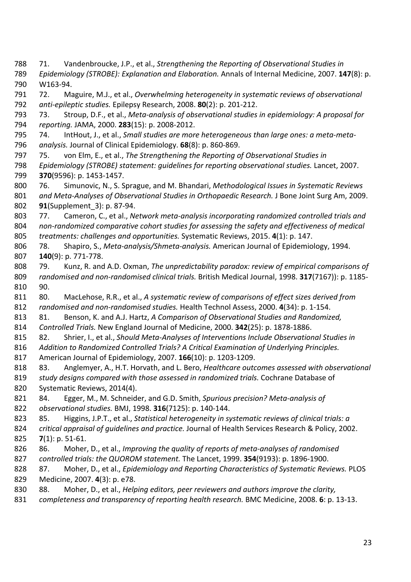71. Vandenbroucke, J.P., et al., *Strengthening the Reporting of Observational Studies in Epidemiology (STROBE): Explanation and Elaboration.* Annals of Internal Medicine, 2007. **147**(8): p. W163-94. 72. Maguire, M.J., et al., *Overwhelming heterogeneity in systematic reviews of observational anti-epileptic studies.* Epilepsy Research, 2008. **80**(2): p. 201-212. 73. Stroup, D.F., et al., *Meta-analysis of observational studies in epidemiology: A proposal for reporting.* JAMA, 2000. **283**(15): p. 2008-2012. 74. IntHout, J., et al., *Small studies are more heterogeneous than large ones: a meta-meta- analysis.* Journal of Clinical Epidemiology. **68**(8): p. 860-869. 75. von Elm, E., et al., *The Strengthening the Reporting of Observational Studies in Epidemiology (STROBE) statement: guidelines for reporting observational studies.* Lancet, 2007. **370**(9596): p. 1453-1457. 76. Simunovic, N., S. Sprague, and M. Bhandari, *Methodological Issues in Systematic Reviews and Meta-Analyses of Observational Studies in Orthopaedic Research.* J Bone Joint Surg Am, 2009. **91**(Supplement\_3): p. 87-94. 77. Cameron, C., et al., *Network meta-analysis incorporating randomized controlled trials and non-randomized comparative cohort studies for assessing the safety and effectiveness of medical treatments: challenges and opportunities.* Systematic Reviews, 2015. **4**(1): p. 147. 78. Shapiro, S., *Meta-analysis/Shmeta-analysis.* American Journal of Epidemiology, 1994. **140**(9): p. 771-778. 79. Kunz, R. and A.D. Oxman, *The unpredictability paradox: review of empirical comparisons of randomised and non-randomised clinical trials.* British Medical Journal, 1998. **317**(7167)): p. 1185- 90. 80. MacLehose, R.R., et al., *A systematic review of comparisons of effect sizes derived from randomised and non-randomised studies.* Health Technol Assess, 2000. **4**(34): p. 1-154. 81. Benson, K. and A.J. Hartz, *A Comparison of Observational Studies and Randomized, Controlled Trials.* New England Journal of Medicine, 2000. **342**(25): p. 1878-1886. 82. Shrier, I., et al., *Should Meta-Analyses of Interventions Include Observational Studies in Addition to Randomized Controlled Trials? A Critical Examination of Underlying Principles.* American Journal of Epidemiology, 2007. **166**(10): p. 1203-1209. 83. Anglemyer, A., H.T. Horvath, and L. Bero, *Healthcare outcomes assessed with observational study designs compared with those assessed in randomized trials.* Cochrane Database of Systematic Reviews, 2014(4). 84. Egger, M., M. Schneider, and G.D. Smith, *Spurious precision? Meta-analysis of observational studies.* BMJ, 1998. **316**(7125): p. 140-144. 85. Higgins, J.P.T., et al., *Statistical heterogeneity in systematic reviews of clinical trials: a critical appraisal of guidelines and practice.* Journal of Health Services Research & Policy, 2002. **7**(1): p. 51-61. 86. Moher, D., et al., *Improving the quality of reports of meta-analyses of randomised controlled trials: the QUOROM statement.* The Lancet, 1999. **354**(9193): p. 1896-1900. 87. Moher, D., et al., *Epidemiology and Reporting Characteristics of Systematic Reviews.* PLOS Medicine, 2007. **4**(3): p. e78. 88. Moher, D., et al., *Helping editors, peer reviewers and authors improve the clarity, completeness and transparency of reporting health research.* BMC Medicine, 2008. **6**: p. 13-13.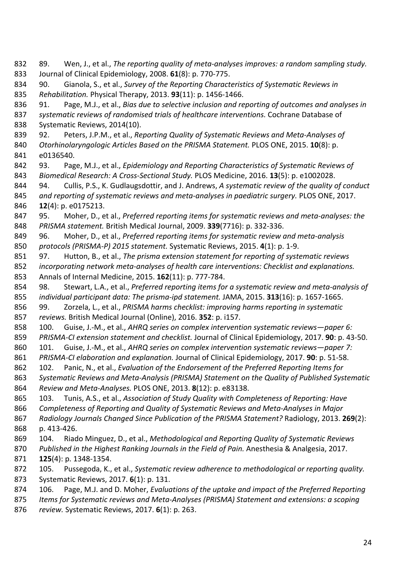89. Wen, J., et al., *The reporting quality of meta-analyses improves: a random sampling study.* Journal of Clinical Epidemiology, 2008. **61**(8): p. 770-775. 90. Gianola, S., et al., *Survey of the Reporting Characteristics of Systematic Reviews in Rehabilitation.* Physical Therapy, 2013. **93**(11): p. 1456-1466. 91. Page, M.J., et al., *Bias due to selective inclusion and reporting of outcomes and analyses in systematic reviews of randomised trials of healthcare interventions.* Cochrane Database of Systematic Reviews, 2014(10). 92. Peters, J.P.M., et al., *Reporting Quality of Systematic Reviews and Meta-Analyses of Otorhinolaryngologic Articles Based on the PRISMA Statement.* PLOS ONE, 2015. **10**(8): p. e0136540. 93. Page, M.J., et al., *Epidemiology and Reporting Characteristics of Systematic Reviews of Biomedical Research: A Cross-Sectional Study.* PLOS Medicine, 2016. **13**(5): p. e1002028. 94. Cullis, P.S., K. Gudlaugsdottir, and J. Andrews, *A systematic review of the quality of conduct and reporting of systematic reviews and meta-analyses in paediatric surgery.* PLOS ONE, 2017. **12**(4): p. e0175213. 95. Moher, D., et al., *Preferred reporting items for systematic reviews and meta-analyses: the PRISMA statement.* British Medical Journal, 2009. **339**(7716): p. 332-336. 96. Moher, D., et al., *Preferred reporting items for systematic review and meta-analysis protocols (PRISMA-P) 2015 statement.* Systematic Reviews, 2015. **4**(1): p. 1-9. 97. Hutton, B., et al., *The prisma extension statement for reporting of systematic reviews incorporating network meta-analyses of health care interventions: Checklist and explanations.* Annals of Internal Medicine, 2015. **162**(11): p. 777-784. 98. Stewart, L.A., et al., *Preferred reporting items for a systematic review and meta-analysis of individual participant data: The prisma-ipd statement.* JAMA, 2015. **313**(16): p. 1657-1665. 99. Zorzela, L., et al., *PRISMA harms checklist: improving harms reporting in systematic reviews.* British Medical Journal (Online), 2016. **352**: p. i157. 100. Guise, J.-M., et al., *AHRQ series on complex intervention systematic reviews—paper 6: PRISMA-CI extension statement and checklist.* Journal of Clinical Epidemiology, 2017. **90**: p. 43-50. 101. Guise, J.-M., et al., *AHRQ series on complex intervention systematic reviews—paper 7: PRISMA-CI elaboration and explanation.* Journal of Clinical Epidemiology, 2017. **90**: p. 51-58. 102. Panic, N., et al., *Evaluation of the Endorsement of the Preferred Reporting Items for Systematic Reviews and Meta-Analysis (PRISMA) Statement on the Quality of Published Systematic Review and Meta-Analyses.* PLOS ONE, 2013. **8**(12): p. e83138. 103. Tunis, A.S., et al., *Association of Study Quality with Completeness of Reporting: Have Completeness of Reporting and Quality of Systematic Reviews and Meta-Analyses in Major Radiology Journals Changed Since Publication of the PRISMA Statement?* Radiology, 2013. **269**(2): p. 413-426. 104. Riado Minguez, D., et al., *Methodological and Reporting Quality of Systematic Reviews Published in the Highest Ranking Journals in the Field of Pain.* Anesthesia & Analgesia, 2017. **125**(4): p. 1348-1354. 105. Pussegoda, K., et al., *Systematic review adherence to methodological or reporting quality.* Systematic Reviews, 2017. **6**(1): p. 131. 106. Page, M.J. and D. Moher, *Evaluations of the uptake and impact of the Preferred Reporting Items for Systematic reviews and Meta-Analyses (PRISMA) Statement and extensions: a scoping* 

*review.* Systematic Reviews, 2017. **6**(1): p. 263.